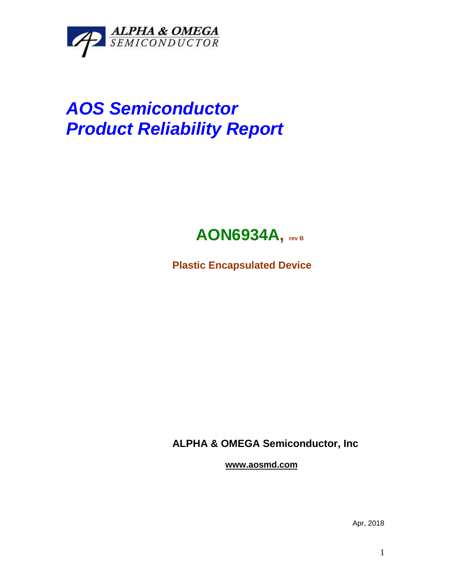

## *AOS Semiconductor Product Reliability Report*



**Plastic Encapsulated Device**

**ALPHA & OMEGA Semiconductor, Inc**

**www.aosmd.com**

Apr, 2018